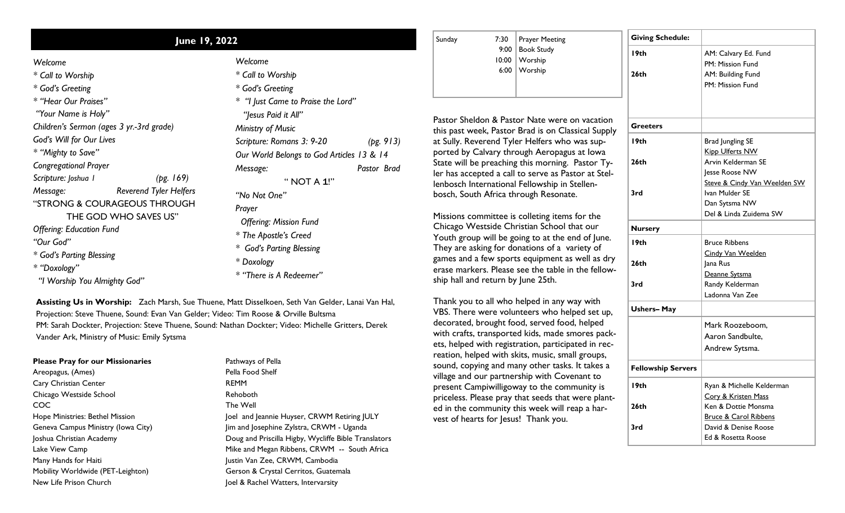## **June 19, 2022**

*\* Call to Worship*

*\* God's Greeting*

*\* "Hear Our Praises"*

*"Your Name is Holy"*

*Children's Sermon (ages 3 yr.-3rd grade)*

*God's Will for Our Lives*

*\* "Mighty to Save"*

*Congregational Prayer*

*Scripture: Joshua 1 (pg. 169)*

*Message: Reverend Tyler Helfers*

"STRONG & COURAGEOUS THROUGH

THE GOD WHO SAVES US"

*Offering: Education Fund*

*"Our God"*

*\* God's Parting Blessing*

*\* "Doxology"*

 *"I Worship You Almighty God"*

| Welcome                                   |             |
|-------------------------------------------|-------------|
| * Call to Worship                         |             |
| * God's Greeting                          |             |
| * "I lust Came to Praise the Lord"        |             |
| "Jesus Paid it All"                       |             |
| Ministry of Music                         |             |
| Scripture: Romans 3: 9-20                 | (pg. 913)   |
| Our World Belongs to God Articles 13 & 14 |             |
| Message:                                  | Pastor Brad |
| " NOT A 1!"                               |             |
| "No Not One"                              |             |
| Prayer                                    |             |
| <b>Offering: Mission Fund</b>             |             |
| * The Apostle's Creed                     |             |

*\* God's Parting Blessing*

*\* Doxology*

*\* "There is A Redeemer"* 

**Assisting Us in Worship:** Zach Marsh, Sue Thuene, Matt Disselkoen, Seth Van Gelder, Lanai Van Hal, Projection: Steve Thuene, Sound: Evan Van Gelder; Video: Tim Roose & Orville Bultsma PM: Sarah Dockter, Projection: Steve Thuene, Sound: Nathan Dockter; Video: Michelle Gritters, Derek Vander Ark, Ministry of Music: Emily Sytsma

## **Please Pray for our Missionaries** Areopagus, (Ames)

Cary Christian Center Chicago Westside School COC Hope Ministries: Bethel Mission Geneva Campus Ministry (Iowa City) Joshua Christian Academy Lake View Camp Many Hands for Haiti Mobility Worldwide (PET-Leighton) New Life Prison Church

Pathways of Pella Pella Food Shelf REMM Rehoboth The Well Joel and Jeannie Huyser, CRWM Retiring JULY Jim and Josephine Zylstra, CRWM - Uganda Doug and Priscilla Higby, Wycliffe Bible Translators Mike and Megan Ribbens, CRWM -- South Africa Justin Van Zee, CRWM, Cambodia Gerson & Crystal Cerritos, Guatemala Joel & Rachel Watters, Intervarsity

| Sunday |                                        |
|--------|----------------------------------------|
|        | 7:30 Prayer Meeting<br>9:00 Book Study |
|        | 10:00 Worship                          |
|        | 6:00   Worship                         |
|        |                                        |

Pastor Sheldon & Pastor Nate were on vacation this past week, Pastor Brad is on Classical Supply at Sully. Reverend Tyler Helfers who was supported by Calvary through Aeropagus at Iowa State will be preaching this morning. Pastor Tyler has accepted a call to serve as Pastor at Stellenbosch International Fellowship in Stellenbosch, South Africa through Resonate.

Missions committee is colleting items for the Chicago Westside Christian School that our Youth group will be going to at the end of June. They are asking for donations of a variety of games and a few sports equipment as well as dry erase markers. Please see the table in the fellowship hall and return by June 25th.

Thank you to all who helped in any way with VBS. There were volunteers who helped set up, decorated, brought food, served food, helped with crafts, transported kids, made smores packets, helped with registration, participated in recreation, helped with skits, music, small groups, sound, copying and many other tasks. It takes a village and our partnership with Covenant to present Campiwilligoway to the community is priceless. Please pray that seeds that were planted in the community this week will reap a harvest of hearts for Jesus! Thank you.

| <b>Giving Schedule:</b>   |                                  |  |  |
|---------------------------|----------------------------------|--|--|
| I9th                      | AM: Calvary Ed. Fund             |  |  |
|                           | PM: Mission Fund                 |  |  |
| 26th                      | AM: Building Fund                |  |  |
|                           | PM: Mission Fund                 |  |  |
|                           |                                  |  |  |
|                           |                                  |  |  |
| <b>Greeters</b>           |                                  |  |  |
| I9th                      | <b>Brad Jungling SE</b>          |  |  |
|                           | <b>Kipp Ulferts NW</b>           |  |  |
| 26th                      | Arvin Kelderman SE               |  |  |
|                           | Jesse Roose NW                   |  |  |
|                           | Steve & Cindy Van Weelden SW     |  |  |
| 3rd                       | Ivan Mulder SE                   |  |  |
|                           | Dan Sytsma NW                    |  |  |
|                           | Del & Linda Zuidema SW           |  |  |
| <b>Nursery</b>            |                                  |  |  |
| I9th                      | <b>Bruce Ribbens</b>             |  |  |
|                           | Cindy Van Weelden                |  |  |
| 26th                      | Jana Rus                         |  |  |
|                           | Deanne Sytsma                    |  |  |
| 3rd                       | Randy Kelderman                  |  |  |
|                           | Ladonna Van Zee                  |  |  |
| <b>Ushers-May</b>         |                                  |  |  |
|                           | Mark Roozeboom.                  |  |  |
|                           | Aaron Sandbulte,                 |  |  |
|                           | Andrew Sytsma.                   |  |  |
| <b>Fellowship Servers</b> |                                  |  |  |
| I9th                      | Ryan & Michelle Kelderman        |  |  |
|                           | Cory & Kristen Mass              |  |  |
| 26 <sub>th</sub>          | Ken & Dottie Monsma              |  |  |
|                           | <b>Bruce &amp; Carol Ribbens</b> |  |  |
| 3rd                       | David & Denise Roose             |  |  |
|                           | Ed & Rosetta Roose               |  |  |